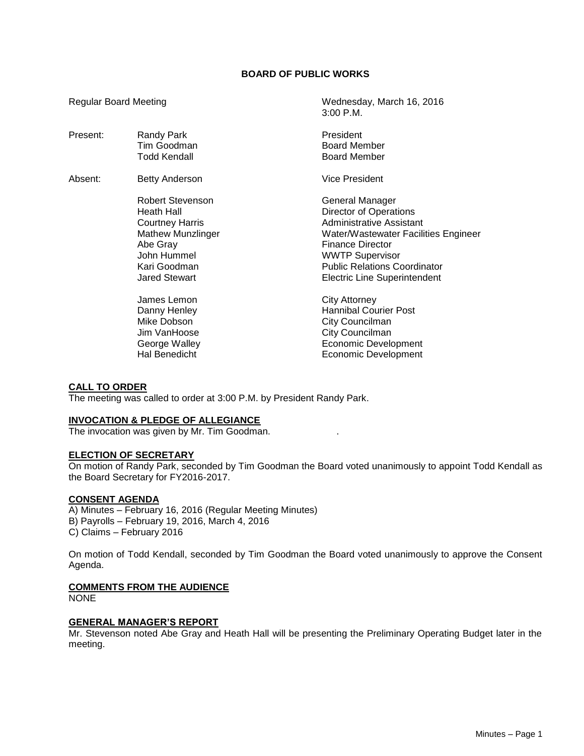## **BOARD OF PUBLIC WORKS**

Regular Board Meeting Wednesday, March 16, 2016

|          |                          | $3:00$ P.M.                          |
|----------|--------------------------|--------------------------------------|
| Present: | Randy Park               | President                            |
|          | Tim Goodman              | <b>Board Member</b>                  |
|          | Todd Kendall             | <b>Board Member</b>                  |
| Absent:  | Betty Anderson           | <b>Vice President</b>                |
|          | Robert Stevenson         | General Manager                      |
|          | Heath Hall               | Director of Operations               |
|          | <b>Courtney Harris</b>   | <b>Administrative Assistant</b>      |
|          | <b>Mathew Munzlinger</b> | Water/Wastewater Facilities Engineer |
|          | Abe Gray                 | <b>Finance Director</b>              |
|          | John Hummel              | <b>WWTP Supervisor</b>               |
|          | Kari Goodman             | <b>Public Relations Coordinator</b>  |
|          | <b>Jared Stewart</b>     | <b>Electric Line Superintendent</b>  |
|          | James Lemon              | <b>City Attorney</b>                 |
|          | Danny Henley             | <b>Hannibal Courier Post</b>         |
|          | Mike Dobson              | City Councilman                      |
|          | Jim VanHoose             | City Councilman                      |
|          | George Walley            | Economic Development                 |
|          | Hal Benedicht            | Economic Development                 |
|          |                          |                                      |

# **CALL TO ORDER**

The meeting was called to order at 3:00 P.M. by President Randy Park.

#### **INVOCATION & PLEDGE OF ALLEGIANCE**

The invocation was given by Mr. Tim Goodman. .

#### **ELECTION OF SECRETARY**

On motion of Randy Park, seconded by Tim Goodman the Board voted unanimously to appoint Todd Kendall as the Board Secretary for FY2016-2017.

#### **CONSENT AGENDA**

A) Minutes – February 16, 2016 (Regular Meeting Minutes) B) Payrolls – February 19, 2016, March 4, 2016 C) Claims – February 2016

On motion of Todd Kendall, seconded by Tim Goodman the Board voted unanimously to approve the Consent Agenda.

# **COMMENTS FROM THE AUDIENCE**

NONE

## **GENERAL MANAGER'S REPORT**

Mr. Stevenson noted Abe Gray and Heath Hall will be presenting the Preliminary Operating Budget later in the meeting.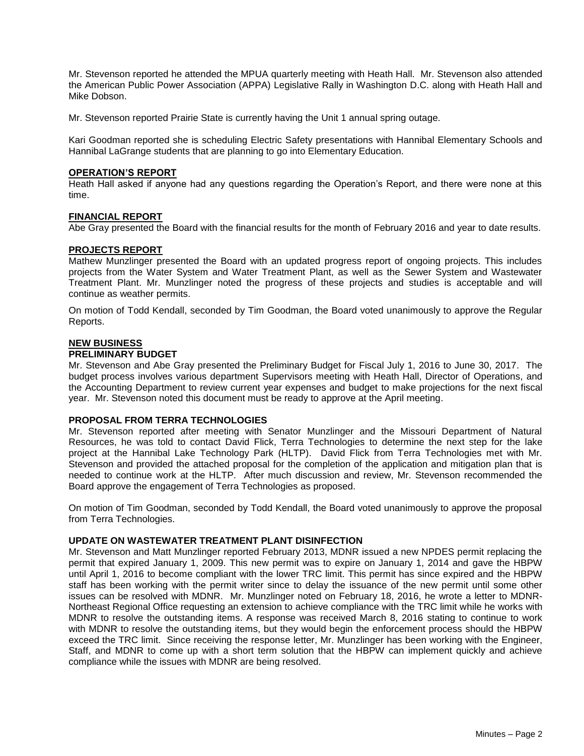Mr. Stevenson reported he attended the MPUA quarterly meeting with Heath Hall. Mr. Stevenson also attended the American Public Power Association (APPA) Legislative Rally in Washington D.C. along with Heath Hall and Mike Dobson.

Mr. Stevenson reported Prairie State is currently having the Unit 1 annual spring outage.

Kari Goodman reported she is scheduling Electric Safety presentations with Hannibal Elementary Schools and Hannibal LaGrange students that are planning to go into Elementary Education.

## **OPERATION'S REPORT**

Heath Hall asked if anyone had any questions regarding the Operation's Report, and there were none at this time.

## **FINANCIAL REPORT**

Abe Gray presented the Board with the financial results for the month of February 2016 and year to date results.

## **PROJECTS REPORT**

Mathew Munzlinger presented the Board with an updated progress report of ongoing projects. This includes projects from the Water System and Water Treatment Plant, as well as the Sewer System and Wastewater Treatment Plant. Mr. Munzlinger noted the progress of these projects and studies is acceptable and will continue as weather permits.

On motion of Todd Kendall, seconded by Tim Goodman, the Board voted unanimously to approve the Regular Reports.

## **NEW BUSINESS**

## **PRELIMINARY BUDGET**

Mr. Stevenson and Abe Gray presented the Preliminary Budget for Fiscal July 1, 2016 to June 30, 2017. The budget process involves various department Supervisors meeting with Heath Hall, Director of Operations, and the Accounting Department to review current year expenses and budget to make projections for the next fiscal year. Mr. Stevenson noted this document must be ready to approve at the April meeting.

#### **PROPOSAL FROM TERRA TECHNOLOGIES**

Mr. Stevenson reported after meeting with Senator Munzlinger and the Missouri Department of Natural Resources, he was told to contact David Flick, Terra Technologies to determine the next step for the lake project at the Hannibal Lake Technology Park (HLTP). David Flick from Terra Technologies met with Mr. Stevenson and provided the attached proposal for the completion of the application and mitigation plan that is needed to continue work at the HLTP. After much discussion and review, Mr. Stevenson recommended the Board approve the engagement of Terra Technologies as proposed.

On motion of Tim Goodman, seconded by Todd Kendall, the Board voted unanimously to approve the proposal from Terra Technologies.

## **UPDATE ON WASTEWATER TREATMENT PLANT DISINFECTION**

Mr. Stevenson and Matt Munzlinger reported February 2013, MDNR issued a new NPDES permit replacing the permit that expired January 1, 2009. This new permit was to expire on January 1, 2014 and gave the HBPW until April 1, 2016 to become compliant with the lower TRC limit. This permit has since expired and the HBPW staff has been working with the permit writer since to delay the issuance of the new permit until some other issues can be resolved with MDNR. Mr. Munzlinger noted on February 18, 2016, he wrote a letter to MDNR-Northeast Regional Office requesting an extension to achieve compliance with the TRC limit while he works with MDNR to resolve the outstanding items. A response was received March 8, 2016 stating to continue to work with MDNR to resolve the outstanding items, but they would begin the enforcement process should the HBPW exceed the TRC limit. Since receiving the response letter, Mr. Munzlinger has been working with the Engineer, Staff, and MDNR to come up with a short term solution that the HBPW can implement quickly and achieve compliance while the issues with MDNR are being resolved.